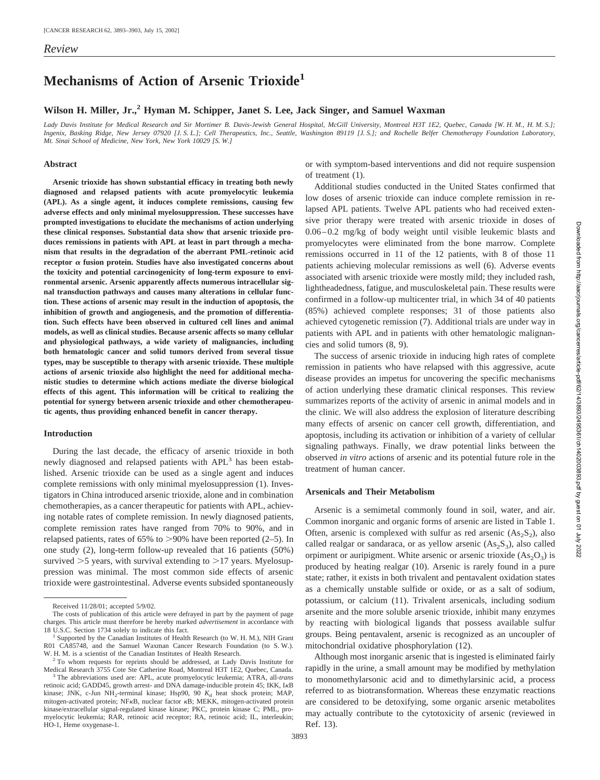# **Mechanisms of Action of Arsenic Trioxide<sup>1</sup>**

# Wilson H. Miller, Jr.,<sup>2</sup> Hyman M. Schipper, Janet S. Lee, Jack Singer, and Samuel Waxman

*Lady Davis Institute for Medical Research and Sir Mortimer B. Davis-Jewish General Hospital, McGill University, Montreal H3T 1E2, Quebec, Canada [W. H. M., H. M. S.]; Ingenix, Basking Ridge, New Jersey 07920 [J. S. L.]; Cell Therapeutics, Inc., Seattle, Washington 89119 [J. S.]; and Rochelle Belfer Chemotherapy Foundation Laboratory, Mt. Sinai School of Medicine, New York, New York 10029 [S. W.]*

#### **Abstract**

**Arsenic trioxide has shown substantial efficacy in treating both newly diagnosed and relapsed patients with acute promyelocytic leukemia (APL). As a single agent, it induces complete remissions, causing few adverse effects and only minimal myelosuppression. These successes have prompted investigations to elucidate the mechanisms of action underlying these clinical responses. Substantial data show that arsenic trioxide produces remissions in patients with APL at least in part through a mechanism that results in the degradation of the aberrant PML-retinoic acid receptor**  $\alpha$  fusion protein. Studies have also investigated concerns about **the toxicity and potential carcinogenicity of long-term exposure to environmental arsenic. Arsenic apparently affects numerous intracellular signal transduction pathways and causes many alterations in cellular function. These actions of arsenic may result in the induction of apoptosis, the inhibition of growth and angiogenesis, and the promotion of differentiation. Such effects have been observed in cultured cell lines and animal models, as well as clinical studies. Because arsenic affects so many cellular and physiological pathways, a wide variety of malignancies, including both hematologic cancer and solid tumors derived from several tissue types, may be susceptible to therapy with arsenic trioxide. These multiple actions of arsenic trioxide also highlight the need for additional mechanistic studies to determine which actions mediate the diverse biological effects of this agent. This information will be critical to realizing the potential for synergy between arsenic trioxide and other chemotherapeutic agents, thus providing enhanced benefit in cancer therapy.**

#### **Introduction**

During the last decade, the efficacy of arsenic trioxide in both newly diagnosed and relapsed patients with APL<sup>3</sup> has been established. Arsenic trioxide can be used as a single agent and induces complete remissions with only minimal myelosuppression (1). Investigators in China introduced arsenic trioxide, alone and in combination chemotherapies, as a cancer therapeutic for patients with APL, achieving notable rates of complete remission. In newly diagnosed patients, complete remission rates have ranged from 70% to 90%, and in relapsed patients, rates of  $65\%$  to  $>90\%$  have been reported (2–5). In one study (2), long-term follow-up revealed that 16 patients (50%) survived  $>5$  years, with survival extending to  $>17$  years. Myelosuppression was minimal. The most common side effects of arsenic trioxide were gastrointestinal. Adverse events subsided spontaneously or with symptom-based interventions and did not require suspension of treatment (1).

Additional studies conducted in the United States confirmed that low doses of arsenic trioxide can induce complete remission in relapsed APL patients. Twelve APL patients who had received extensive prior therapy were treated with arsenic trioxide in doses of 0.06–0.2 mg/kg of body weight until visible leukemic blasts and promyelocytes were eliminated from the bone marrow. Complete remissions occurred in 11 of the 12 patients, with 8 of those 11 patients achieving molecular remissions as well (6). Adverse events associated with arsenic trioxide were mostly mild; they included rash, lightheadedness, fatigue, and musculoskeletal pain. These results were confirmed in a follow-up multicenter trial, in which 34 of 40 patients (85%) achieved complete responses; 31 of those patients also achieved cytogenetic remission (7). Additional trials are under way in patients with APL and in patients with other hematologic malignancies and solid tumors (8, 9).

The success of arsenic trioxide in inducing high rates of complete remission in patients who have relapsed with this aggressive, acute disease provides an impetus for uncovering the specific mechanisms of action underlying these dramatic clinical responses. This review summarizes reports of the activity of arsenic in animal models and in the clinic. We will also address the explosion of literature describing many effects of arsenic on cancer cell growth, differentiation, and apoptosis, including its activation or inhibition of a variety of cellular signaling pathways. Finally, we draw potential links between the observed *in vitro* actions of arsenic and its potential future role in the treatment of human cancer.

## **Arsenicals and Their Metabolism**

Arsenic is a semimetal commonly found in soil, water, and air. Common inorganic and organic forms of arsenic are listed in Table 1. Often, arsenic is complexed with sulfur as red arsenic  $(As_2S_2)$ , also called realgar or sandaraca, or as yellow arsenic  $(As_2S_3)$ , also called orpiment or auripigment. White arsenic or arsenic trioxide  $(As<sub>2</sub>O<sub>3</sub>)$  is produced by heating realgar (10). Arsenic is rarely found in a pure state; rather, it exists in both trivalent and pentavalent oxidation states as a chemically unstable sulfide or oxide, or as a salt of sodium, potassium, or calcium (11). Trivalent arsenicals, including sodium arsenite and the more soluble arsenic trioxide, inhibit many enzymes by reacting with biological ligands that possess available sulfur groups. Being pentavalent, arsenic is recognized as an uncoupler of mitochondrial oxidative phosphorylation (12).

Although most inorganic arsenic that is ingested is eliminated fairly rapidly in the urine, a small amount may be modified by methylation to monomethylarsonic acid and to dimethylarsinic acid, a process referred to as biotransformation. Whereas these enzymatic reactions are considered to be detoxifying, some organic arsenic metabolites may actually contribute to the cytotoxicity of arsenic (reviewed in Ref. 13).

3893

Received 11/28/01; accepted 5/9/02.

The costs of publication of this article were defrayed in part by the payment of page charges. This article must therefore be hereby marked *advertisement* in accordance with

<sup>18</sup> U.S.C. Section 1734 solely to indicate this fact. <sup>1</sup> Supported by the Canadian Institutes of Health Research (to W. H. M.), NIH Grant R01 CA85748, and the Samuel Waxman Cancer Research Foundation (to S. W.). W. H. M. is a scientist of the Canadian Institutes of Health Research. <sup>2</sup> To whom requests for reprints should be addressed, at Lady Davis Institute for

Medical Research 3755 Cote Ste Catherine Road, Montreal H3T 1E2, Quebec, Canada. <sup>3</sup> The abbreviations used are: APL, acute promyelocytic leukemia; ATRA, all-*trans*

retinoic acid; GADD45, growth arrest- and DNA damage-inducible protein 45; IKK, IKB kinase; JNK, c-Jun NH<sub>2</sub>-terminal kinase; Hsp90, 90  $K_d$  heat shock protein; MAP, mitogen-activated protein; NFKB, nuclear factor KB; MEKK, mitogen-activated protein kinase/extracellular signal-regulated kinase kinase; PKC, protein kinase C; PML, promyelocytic leukemia; RAR, retinoic acid receptor; RA, retinoic acid; IL, interleukin; HO-1, Heme oxygenase-1.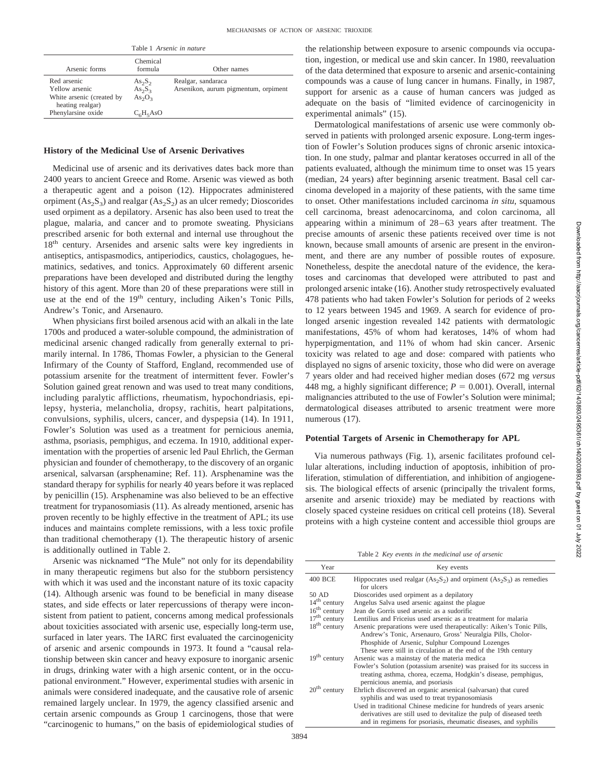| Table 1 Arsenic in nature                     |                                |                                      |  |
|-----------------------------------------------|--------------------------------|--------------------------------------|--|
| Arsenic forms                                 | Chemical<br>formula            | Other names                          |  |
| Red arsenic                                   | $As_2S_2$                      | Realgar, sandaraca                   |  |
| Yellow arsenic                                | $As_2S_3$                      | Arsenikon, aurum pigmentum, orpiment |  |
| White arsenic (created by<br>heating realgar) | As <sub>2</sub> O <sub>3</sub> |                                      |  |
| Phenylarsine oxide                            | $C_6H_5ASO$                    |                                      |  |

# **History of the Medicinal Use of Arsenic Derivatives**

Medicinal use of arsenic and its derivatives dates back more than 2400 years to ancient Greece and Rome. Arsenic was viewed as both a therapeutic agent and a poison (12). Hippocrates administered orpiment  $(As_2S_3)$  and realgar  $(As_2S_2)$  as an ulcer remedy; Dioscorides used orpiment as a depilatory. Arsenic has also been used to treat the plague, malaria, and cancer and to promote sweating. Physicians prescribed arsenic for both external and internal use throughout the 18<sup>th</sup> century. Arsenides and arsenic salts were key ingredients in antiseptics, antispasmodics, antiperiodics, caustics, cholagogues, hematinics, sedatives, and tonics. Approximately 60 different arsenic preparations have been developed and distributed during the lengthy history of this agent. More than 20 of these preparations were still in use at the end of the  $19<sup>th</sup>$  century, including Aiken's Tonic Pills, Andrew's Tonic, and Arsenauro.

When physicians first boiled arsenous acid with an alkali in the late 1700s and produced a water-soluble compound, the administration of medicinal arsenic changed radically from generally external to primarily internal. In 1786, Thomas Fowler, a physician to the General Infirmary of the County of Stafford, England, recommended use of potassium arsenite for the treatment of intermittent fever. Fowler's Solution gained great renown and was used to treat many conditions, including paralytic afflictions, rheumatism, hypochondriasis, epilepsy, hysteria, melancholia, dropsy, rachitis, heart palpitations, convulsions, syphilis, ulcers, cancer, and dyspepsia (14). In 1911, Fowler's Solution was used as a treatment for pernicious anemia, asthma, psoriasis, pemphigus, and eczema. In 1910, additional experimentation with the properties of arsenic led Paul Ehrlich, the German physician and founder of chemotherapy, to the discovery of an organic arsenical, salvarsan (arsphenamine; Ref. 11). Arsphenamine was the standard therapy for syphilis for nearly 40 years before it was replaced by penicillin (15). Arsphenamine was also believed to be an effective treatment for trypanosomiasis (11). As already mentioned, arsenic has proven recently to be highly effective in the treatment of APL; its use induces and maintains complete remissions, with a less toxic profile than traditional chemotherapy (1). The therapeutic history of arsenic is additionally outlined in Table 2.

Arsenic was nicknamed "The Mule" not only for its dependability in many therapeutic regimens but also for the stubborn persistency with which it was used and the inconstant nature of its toxic capacity (14). Although arsenic was found to be beneficial in many disease states, and side effects or later repercussions of therapy were inconsistent from patient to patient, concerns among medical professionals about toxicities associated with arsenic use, especially long-term use, surfaced in later years. The IARC first evaluated the carcinogenicity of arsenic and arsenic compounds in 1973. It found a "causal relationship between skin cancer and heavy exposure to inorganic arsenic in drugs, drinking water with a high arsenic content, or in the occupational environment." However, experimental studies with arsenic in animals were considered inadequate, and the causative role of arsenic remained largely unclear. In 1979, the agency classified arsenic and certain arsenic compounds as Group 1 carcinogens, those that were "carcinogenic to humans," on the basis of epidemiological studies of

the relationship between exposure to arsenic compounds via occupation, ingestion, or medical use and skin cancer. In 1980, reevaluation of the data determined that exposure to arsenic and arsenic-containing compounds was a cause of lung cancer in humans. Finally, in 1987, support for arsenic as a cause of human cancers was judged as adequate on the basis of "limited evidence of carcinogenicity in experimental animals" (15).

Dermatological manifestations of arsenic use were commonly observed in patients with prolonged arsenic exposure. Long-term ingestion of Fowler's Solution produces signs of chronic arsenic intoxication. In one study, palmar and plantar keratoses occurred in all of the patients evaluated, although the minimum time to onset was 15 years (median, 24 years) after beginning arsenic treatment. Basal cell carcinoma developed in a majority of these patients, with the same time to onset. Other manifestations included carcinoma *in situ*, squamous cell carcinoma, breast adenocarcinoma, and colon carcinoma, all appearing within a minimum of 28–63 years after treatment. The precise amounts of arsenic these patients received over time is not known, because small amounts of arsenic are present in the environment, and there are any number of possible routes of exposure. Nonetheless, despite the anecdotal nature of the evidence, the keratoses and carcinomas that developed were attributed to past and prolonged arsenic intake (16). Another study retrospectively evaluated 478 patients who had taken Fowler's Solution for periods of 2 weeks to 12 years between 1945 and 1969. A search for evidence of prolonged arsenic ingestion revealed 142 patients with dermatologic manifestations, 45% of whom had keratoses, 14% of whom had hyperpigmentation, and 11% of whom had skin cancer. Arsenic toxicity was related to age and dose: compared with patients who displayed no signs of arsenic toxicity, those who did were on average 7 years older and had received higher median doses (672 mg *versus* 448 mg, a highly significant difference;  $P = 0.001$ ). Overall, internal malignancies attributed to the use of Fowler's Solution were minimal; dermatological diseases attributed to arsenic treatment were more numerous (17).

#### **Potential Targets of Arsenic in Chemotherapy for APL**

Via numerous pathways (Fig. 1), arsenic facilitates profound cellular alterations, including induction of apoptosis, inhibition of proliferation, stimulation of differentiation, and inhibition of angiogenesis. The biological effects of arsenic (principally the trivalent forms, arsenite and arsenic trioxide) may be mediated by reactions with closely spaced cysteine residues on critical cell proteins (18). Several proteins with a high cysteine content and accessible thiol groups are

Table 2 *Key events in the medicinal use of arsenic*

| Year           | Key events                                                                                                                                                                                                                                                                                                                       |  |  |
|----------------|----------------------------------------------------------------------------------------------------------------------------------------------------------------------------------------------------------------------------------------------------------------------------------------------------------------------------------|--|--|
| 400 BCE        | Hippocrates used realgar $(As_2S_2)$ and orpiment $(As_2S_3)$ as remedies<br>for ulcers                                                                                                                                                                                                                                          |  |  |
| 50 AD          | Dioscorides used orpiment as a depilatory                                                                                                                                                                                                                                                                                        |  |  |
| $14th$ century | Angelus Salva used arsenic against the plague                                                                                                                                                                                                                                                                                    |  |  |
| $16th$ century | Jean de Gorris used arsenic as a sudorific                                                                                                                                                                                                                                                                                       |  |  |
| $17th$ century | Lentilius and Friceius used arsenic as a treatment for malaria                                                                                                                                                                                                                                                                   |  |  |
| $18th$ century | Arsenic preparations were used therapeutically: Aiken's Tonic Pills,<br>Andrew's Tonic, Arsenauro, Gross' Neuralgia Pills, Cholor-<br>Phosphide of Arsenic, Sulphur Compound Lozenges<br>These were still in circulation at the end of the 19th century                                                                          |  |  |
| $19th$ century | Arsenic was a mainstay of the materia medica                                                                                                                                                                                                                                                                                     |  |  |
|                | Fowler's Solution (potassium arsenite) was praised for its success in<br>treating asthma, chorea, eczema, Hodgkin's disease, pemphigus,<br>pernicious anemia, and psoriasis                                                                                                                                                      |  |  |
| $20th$ century | Ehrlich discovered an organic arsenical (salvarsan) that cured<br>syphilis and was used to treat trypanosomiasis<br>Used in traditional Chinese medicine for hundreds of years arsenic<br>derivatives are still used to devitalize the pulp of diseased teeth<br>and in regimens for psoriasis, rheumatic diseases, and syphilis |  |  |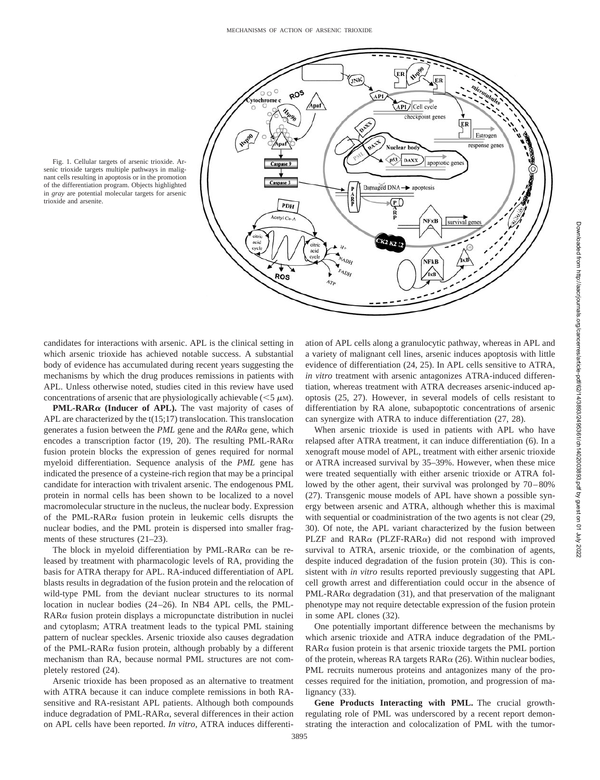

Fig. 1. Cellular targets of arsenic trioxide. Arsenic trioxide targets multiple pathways in malignant cells resulting in apoptosis or in the promotion of the differentiation program. Objects highlighted in *gray* are potential molecular targets for arsenic trioxide and arsenite.

candidates for interactions with arsenic. APL is the clinical setting in which arsenic trioxide has achieved notable success. A substantial body of evidence has accumulated during recent years suggesting the mechanisms by which the drug produces remissions in patients with APL. Unless otherwise noted, studies cited in this review have used concentrations of arsenic that are physiologically achievable  $(< 5 \mu M)$ .

**PML-RAR** $\alpha$  **(Inducer of APL).** The vast majority of cases of APL are characterized by the t(15;17) translocation. This translocation generates a fusion between the  $PML$  gene and the  $RAR\alpha$  gene, which encodes a transcription factor (19, 20). The resulting PML-RAR $\alpha$ fusion protein blocks the expression of genes required for normal myeloid differentiation. Sequence analysis of the *PML* gene has indicated the presence of a cysteine-rich region that may be a principal candidate for interaction with trivalent arsenic. The endogenous PML protein in normal cells has been shown to be localized to a novel macromolecular structure in the nucleus, the nuclear body. Expression of the PML-RAR $\alpha$  fusion protein in leukemic cells disrupts the nuclear bodies, and the PML protein is dispersed into smaller fragments of these structures (21–23).

The block in myeloid differentiation by PML-RAR $\alpha$  can be released by treatment with pharmacologic levels of RA, providing the basis for ATRA therapy for APL. RA-induced differentiation of APL blasts results in degradation of the fusion protein and the relocation of wild-type PML from the deviant nuclear structures to its normal location in nuclear bodies (24–26). In NB4 APL cells, the PML- $RAR\alpha$  fusion protein displays a micropunctate distribution in nuclei and cytoplasm; ATRA treatment leads to the typical PML staining pattern of nuclear speckles. Arsenic trioxide also causes degradation of the PML-RAR $\alpha$  fusion protein, although probably by a different mechanism than RA, because normal PML structures are not completely restored (24).

Arsenic trioxide has been proposed as an alternative to treatment with ATRA because it can induce complete remissions in both RAsensitive and RA-resistant APL patients. Although both compounds induce degradation of PML-RAR $\alpha$ , several differences in their action on APL cells have been reported. *In vitro*, ATRA induces differentiation of APL cells along a granulocytic pathway, whereas in APL and a variety of malignant cell lines, arsenic induces apoptosis with little evidence of differentiation (24, 25). In APL cells sensitive to ATRA, *in vitro* treatment with arsenic antagonizes ATRA-induced differentiation, whereas treatment with ATRA decreases arsenic-induced apoptosis (25, 27). However, in several models of cells resistant to differentiation by RA alone, subapoptotic concentrations of arsenic can synergize with ATRA to induce differentiation (27, 28).

When arsenic trioxide is used in patients with APL who have relapsed after ATRA treatment, it can induce differentiation (6). In a xenograft mouse model of APL, treatment with either arsenic trioxide or ATRA increased survival by 35–39%. However, when these mice were treated sequentially with either arsenic trioxide or ATRA followed by the other agent, their survival was prolonged by 70–80% (27). Transgenic mouse models of APL have shown a possible synergy between arsenic and ATRA, although whether this is maximal with sequential or coadministration of the two agents is not clear (29, 30). Of note, the APL variant characterized by the fusion between PLZF and  $RAR\alpha$  (PLZF-RAR $\alpha$ ) did not respond with improved survival to ATRA, arsenic trioxide, or the combination of agents, despite induced degradation of the fusion protein (30). This is consistent with *in vitro* results reported previously suggesting that APL cell growth arrest and differentiation could occur in the absence of PML-RAR $\alpha$  degradation (31), and that preservation of the malignant phenotype may not require detectable expression of the fusion protein in some APL clones (32).

One potentially important difference between the mechanisms by which arsenic trioxide and ATRA induce degradation of the PML- $RAR\alpha$  fusion protein is that arsenic trioxide targets the PML portion of the protein, whereas RA targets  $RAR\alpha$  (26). Within nuclear bodies, PML recruits numerous proteins and antagonizes many of the processes required for the initiation, promotion, and progression of malignancy (33).

**Gene Products Interacting with PML.** The crucial growthregulating role of PML was underscored by a recent report demonstrating the interaction and colocalization of PML with the tumor-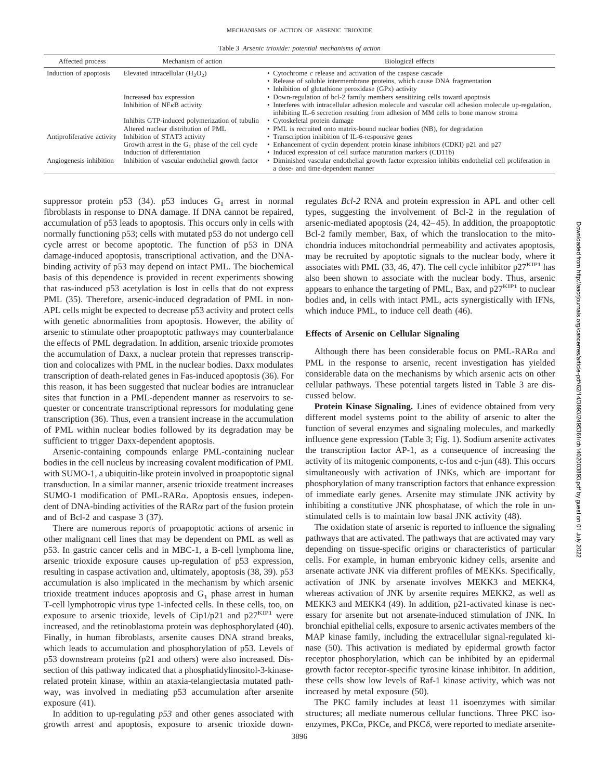Table 3 *Arsenic trioxide: potential mechanisms of action*

| Affected process           | Mechanism of action                                | Biological effects                                                                                                                                                                                    |
|----------------------------|----------------------------------------------------|-------------------------------------------------------------------------------------------------------------------------------------------------------------------------------------------------------|
| Induction of apoptosis     | Elevated intracellular $(H_2O_2)$                  | • Cytochrome $c$ release and activation of the caspase cascade<br>• Release of soluble intermembrane proteins, which cause DNA fragmentation<br>• Inhibition of glutathione peroxidase (GPx) activity |
|                            | Increased <i>bax</i> expression                    | • Down-regulation of bcl-2 family members sensitizing cells toward apoptosis                                                                                                                          |
|                            | Inhibition of NF <sub>K</sub> B activity           | • Interferes with intracellular adhesion molecule and vascular cell adhesion molecule up-regulation,<br>inhibiting IL-6 secretion resulting from adhesion of MM cells to bone marrow stroma           |
|                            | Inhibits GTP-induced polymerization of tubulin     | • Cytoskeletal protein damage                                                                                                                                                                         |
|                            | Altered nuclear distribution of PML                | • PML is recruited onto matrix-bound nuclear bodies (NB), for degradation                                                                                                                             |
| Antiproliferative activity | Inhibition of STAT3 activity                       | • Transcription inhibition of IL-6-responsive genes                                                                                                                                                   |
|                            | Growth arrest in the $G_1$ phase of the cell cycle | • Enhancement of cyclin dependent protein kinase inhibitors (CDKI) p21 and p27                                                                                                                        |
|                            | Induction of differentiation                       | • Induced expression of cell surface maturation markers (CD11b)                                                                                                                                       |
| Angiogenesis inhibition    | Inhibition of vascular endothelial growth factor   | • Diminished vascular endothelial growth factor expression inhibits endothelial cell proliferation in<br>a dose- and time-dependent manner                                                            |

suppressor protein p53 (34). p53 induces  $G_1$  arrest in normal fibroblasts in response to DNA damage. If DNA cannot be repaired, accumulation of p53 leads to apoptosis. This occurs only in cells with normally functioning p53; cells with mutated p53 do not undergo cell cycle arrest or become apoptotic. The function of p53 in DNA damage-induced apoptosis, transcriptional activation, and the DNAbinding activity of p53 may depend on intact PML. The biochemical basis of this dependence is provided in recent experiments showing that ras-induced p53 acetylation is lost in cells that do not express PML (35). Therefore, arsenic-induced degradation of PML in non-APL cells might be expected to decrease p53 activity and protect cells with genetic abnormalities from apoptosis. However, the ability of arsenic to stimulate other proapoptotic pathways may counterbalance the effects of PML degradation. In addition, arsenic trioxide promotes the accumulation of Daxx, a nuclear protein that represses transcription and colocalizes with PML in the nuclear bodies. Daxx modulates transcription of death-related genes in Fas-induced apoptosis (36). For this reason, it has been suggested that nuclear bodies are intranuclear sites that function in a PML-dependent manner as reservoirs to sequester or concentrate transcriptional repressors for modulating gene transcription (36). Thus, even a transient increase in the accumulation of PML within nuclear bodies followed by its degradation may be sufficient to trigger Daxx-dependent apoptosis.

Arsenic-containing compounds enlarge PML-containing nuclear bodies in the cell nucleus by increasing covalent modification of PML with SUMO-1, a ubiquitin-like protein involved in proapoptotic signal transduction. In a similar manner, arsenic trioxide treatment increases SUMO-1 modification of PML-RAR $\alpha$ . Apoptosis ensues, independent of DNA-binding activities of the RAR $\alpha$  part of the fusion protein and of Bcl-2 and caspase 3 (37).

There are numerous reports of proapoptotic actions of arsenic in other malignant cell lines that may be dependent on PML as well as p53. In gastric cancer cells and in MBC-1, a B-cell lymphoma line, arsenic trioxide exposure causes up-regulation of p53 expression, resulting in caspase activation and, ultimately, apoptosis (38, 39). p53 accumulation is also implicated in the mechanism by which arsenic trioxide treatment induces apoptosis and  $G_1$  phase arrest in human T-cell lymphotropic virus type 1-infected cells. In these cells, too, on exposure to arsenic trioxide, levels of Cip1/p21 and  $p27<sup>KIP1</sup>$  were increased, and the retinoblastoma protein was dephosphorylated (40). Finally, in human fibroblasts, arsenite causes DNA strand breaks, which leads to accumulation and phosphorylation of p53. Levels of p53 downstream proteins (p21 and others) were also increased. Dissection of this pathway indicated that a phosphatidylinositol-3-kinaserelated protein kinase, within an ataxia-telangiectasia mutated pathway, was involved in mediating p53 accumulation after arsenite exposure (41).

In addition to up-regulating *p53* and other genes associated with growth arrest and apoptosis, exposure to arsenic trioxide downregulates *Bcl-2* RNA and protein expression in APL and other cell types, suggesting the involvement of Bcl-2 in the regulation of arsenic-mediated apoptosis (24, 42–45). In addition, the proapoptotic Bcl-2 family member, Bax, of which the translocation to the mitochondria induces mitochondrial permeability and activates apoptosis, may be recruited by apoptotic signals to the nuclear body, where it associates with PML (33, 46, 47). The cell cycle inhibitor  $p27<sup>KIP1</sup>$  has also been shown to associate with the nuclear body. Thus, arsenic appears to enhance the targeting of PML, Bax, and  $p27^{KIP1}$  to nuclear bodies and, in cells with intact PML, acts synergistically with IFNs, which induce PML, to induce cell death (46).

#### **Effects of Arsenic on Cellular Signaling**

Although there has been considerable focus on PML-RAR $\alpha$  and PML in the response to arsenic, recent investigation has yielded considerable data on the mechanisms by which arsenic acts on other cellular pathways. These potential targets listed in Table 3 are discussed below.

**Protein Kinase Signaling.** Lines of evidence obtained from very different model systems point to the ability of arsenic to alter the function of several enzymes and signaling molecules, and markedly influence gene expression (Table 3; Fig. 1). Sodium arsenite activates the transcription factor AP-1, as a consequence of increasing the activity of its mitogenic components, c-fos and c-jun (48). This occurs simultaneously with activation of JNKs, which are important for phosphorylation of many transcription factors that enhance expression of immediate early genes. Arsenite may stimulate JNK activity by inhibiting a constitutive JNK phosphatase, of which the role in unstimulated cells is to maintain low basal JNK activity (48).

The oxidation state of arsenic is reported to influence the signaling pathways that are activated. The pathways that are activated may vary depending on tissue-specific origins or characteristics of particular cells. For example, in human embryonic kidney cells, arsenite and arsenate activate JNK via different profiles of MEKKs. Specifically, activation of JNK by arsenate involves MEKK3 and MEKK4, whereas activation of JNK by arsenite requires MEKK2, as well as MEKK3 and MEKK4 (49). In addition, p21-activated kinase is necessary for arsenite but not arsenate-induced stimulation of JNK. In bronchial epithelial cells, exposure to arsenic activates members of the MAP kinase family, including the extracellular signal-regulated kinase (50). This activation is mediated by epidermal growth factor receptor phosphorylation, which can be inhibited by an epidermal growth factor receptor-specific tyrosine kinase inhibitor. In addition, these cells show low levels of Raf-1 kinase activity, which was not increased by metal exposure (50).

The PKC family includes at least 11 isoenzymes with similar structures; all mediate numerous cellular functions. Three PKC isoenzymes, PKC $\alpha$ , PKC $\epsilon$ , and PKC $\delta$ , were reported to mediate arsenite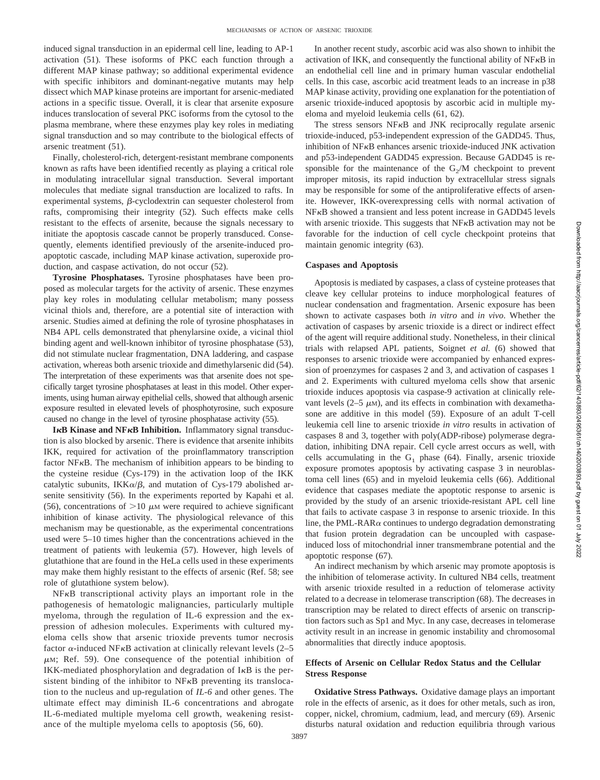induced signal transduction in an epidermal cell line, leading to AP-1 activation (51). These isoforms of PKC each function through a different MAP kinase pathway; so additional experimental evidence with specific inhibitors and dominant-negative mutants may help dissect which MAP kinase proteins are important for arsenic-mediated actions in a specific tissue. Overall, it is clear that arsenite exposure induces translocation of several PKC isoforms from the cytosol to the plasma membrane, where these enzymes play key roles in mediating signal transduction and so may contribute to the biological effects of arsenic treatment (51).

Finally, cholesterol-rich, detergent-resistant membrane components known as rafts have been identified recently as playing a critical role in modulating intracellular signal transduction. Several important molecules that mediate signal transduction are localized to rafts. In experimental systems,  $\beta$ -cyclodextrin can sequester cholesterol from rafts, compromising their integrity (52). Such effects make cells resistant to the effects of arsenite, because the signals necessary to initiate the apoptosis cascade cannot be properly transduced. Consequently, elements identified previously of the arsenite-induced proapoptotic cascade, including MAP kinase activation, superoxide production, and caspase activation, do not occur (52).

**Tyrosine Phosphatases.** Tyrosine phosphatases have been proposed as molecular targets for the activity of arsenic. These enzymes play key roles in modulating cellular metabolism; many possess vicinal thiols and, therefore, are a potential site of interaction with arsenic. Studies aimed at defining the role of tyrosine phosphatases in NB4 APL cells demonstrated that phenylarsine oxide, a vicinal thiol binding agent and well-known inhibitor of tyrosine phosphatase (53), did not stimulate nuclear fragmentation, DNA laddering, and caspase activation, whereas both arsenic trioxide and dimethylarsenic did (54). The interpretation of these experiments was that arsenite does not specifically target tyrosine phosphatases at least in this model. Other experiments, using human airway epithelial cells, showed that although arsenic exposure resulted in elevated levels of phosphotyrosine, such exposure caused no change in the level of tyrosine phosphatase activity (55).

I<sub>K</sub>B Kinase and NF<sub>K</sub>B Inhibition. Inflammatory signal transduction is also blocked by arsenic. There is evidence that arsenite inhibits IKK, required for activation of the proinflammatory transcription factor NF $\kappa$ B. The mechanism of inhibition appears to be binding to the cysteine residue (Cys-179) in the activation loop of the IKK catalytic subunits, IKK $\alpha/\beta$ , and mutation of Cys-179 abolished arsenite sensitivity (56). In the experiments reported by Kapahi et al. (56), concentrations of  $>$ 10  $\mu$ M were required to achieve significant inhibition of kinase activity. The physiological relevance of this mechanism may be questionable, as the experimental concentrations used were 5–10 times higher than the concentrations achieved in the treatment of patients with leukemia (57). However, high levels of glutathione that are found in the HeLa cells used in these experiments may make them highly resistant to the effects of arsenic (Ref. 58; see role of glutathione system below).

 $NFKB$  transcriptional activity plays an important role in the pathogenesis of hematologic malignancies, particularly multiple myeloma, through the regulation of IL-6 expression and the expression of adhesion molecules. Experiments with cultured myeloma cells show that arsenic trioxide prevents tumor necrosis factor  $\alpha$ -induced NF $\kappa$ B activation at clinically relevant levels (2–5  $\mu$ M; Ref. 59). One consequence of the potential inhibition of  $IKK$ -mediated phosphorylation and degradation of  $IKB$  is the persistent binding of the inhibitor to  $NFKB$  preventing its translocation to the nucleus and up-regulation of *IL-6* and other genes. The ultimate effect may diminish IL-6 concentrations and abrogate IL-6-mediated multiple myeloma cell growth, weakening resistance of the multiple myeloma cells to apoptosis (56, 60).

In another recent study, ascorbic acid was also shown to inhibit the activation of IKK, and consequently the functional ability of  $NFKB$  in an endothelial cell line and in primary human vascular endothelial cells. In this case, ascorbic acid treatment leads to an increase in p38 MAP kinase activity, providing one explanation for the potentiation of arsenic trioxide-induced apoptosis by ascorbic acid in multiple myeloma and myeloid leukemia cells (61, 62).

The stress sensors  $NFKB$  and JNK reciprocally regulate arsenic trioxide-induced, p53-independent expression of the GADD45. Thus, inhibition of  $N F \kappa B$  enhances arsenic trioxide-induced JNK activation and p53-independent GADD45 expression. Because GADD45 is responsible for the maintenance of the  $G<sub>2</sub>/M$  checkpoint to prevent improper mitosis, its rapid induction by extracellular stress signals may be responsible for some of the antiproliferative effects of arsenite. However, IKK-overexpressing cells with normal activation of NF<sub>K</sub>B showed a transient and less potent increase in GADD45 levels with arsenic trioxide. This suggests that  $N F \kappa B$  activation may not be favorable for the induction of cell cycle checkpoint proteins that maintain genomic integrity (63).

## **Caspases and Apoptosis**

Apoptosis is mediated by caspases, a class of cysteine proteases that cleave key cellular proteins to induce morphological features of nuclear condensation and fragmentation. Arsenic exposure has been shown to activate caspases both *in vitro* and *in vivo*. Whether the activation of caspases by arsenic trioxide is a direct or indirect effect of the agent will require additional study. Nonetheless, in their clinical trials with relapsed APL patients, Soignet *et al.* (6) showed that responses to arsenic trioxide were accompanied by enhanced expression of proenzymes for caspases 2 and 3, and activation of caspases 1 and 2. Experiments with cultured myeloma cells show that arsenic trioxide induces apoptosis via caspase-9 activation at clinically relevant levels  $(2-5 \mu M)$ , and its effects in combination with dexamethasone are additive in this model (59). Exposure of an adult T-cell leukemia cell line to arsenic trioxide *in vitro* results in activation of caspases 8 and 3, together with poly(ADP-ribose) polymerase degradation, inhibiting DNA repair. Cell cycle arrest occurs as well, with cells accumulating in the  $G_1$  phase (64). Finally, arsenic trioxide exposure promotes apoptosis by activating caspase 3 in neuroblastoma cell lines (65) and in myeloid leukemia cells (66). Additional evidence that caspases mediate the apoptotic response to arsenic is provided by the study of an arsenic trioxide-resistant APL cell line that fails to activate caspase 3 in response to arsenic trioxide. In this line, the PML-RAR $\alpha$  continues to undergo degradation demonstrating that fusion protein degradation can be uncoupled with caspaseinduced loss of mitochondrial inner transmembrane potential and the apoptotic response (67).

An indirect mechanism by which arsenic may promote apoptosis is the inhibition of telomerase activity. In cultured NB4 cells, treatment with arsenic trioxide resulted in a reduction of telomerase activity related to a decrease in telomerase transcription (68). The decreases in transcription may be related to direct effects of arsenic on transcription factors such as Sp1 and Myc. In any case, decreases in telomerase activity result in an increase in genomic instability and chromosomal abnormalities that directly induce apoptosis.

## **Effects of Arsenic on Cellular Redox Status and the Cellular Stress Response**

**Oxidative Stress Pathways.** Oxidative damage plays an important role in the effects of arsenic, as it does for other metals, such as iron, copper, nickel, chromium, cadmium, lead, and mercury (69). Arsenic disturbs natural oxidation and reduction equilibria through various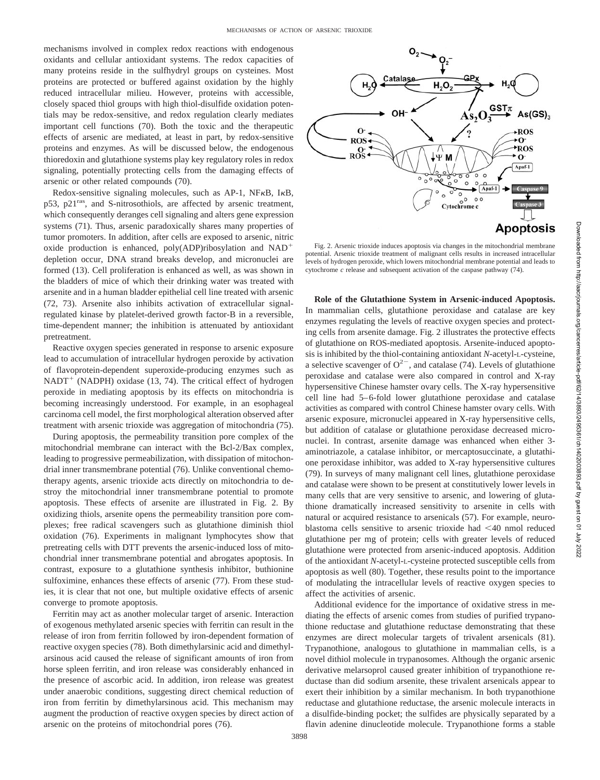mechanisms involved in complex redox reactions with endogenous oxidants and cellular antioxidant systems. The redox capacities of many proteins reside in the sulfhydryl groups on cysteines. Most proteins are protected or buffered against oxidation by the highly reduced intracellular milieu. However, proteins with accessible, closely spaced thiol groups with high thiol-disulfide oxidation potentials may be redox-sensitive, and redox regulation clearly mediates important cell functions (70). Both the toxic and the therapeutic effects of arsenic are mediated, at least in part, by redox-sensitive proteins and enzymes. As will be discussed below, the endogenous thioredoxin and glutathione systems play key regulatory roles in redox signaling, potentially protecting cells from the damaging effects of arsenic or other related compounds (70).

Redox-sensitive signaling molecules, such as AP-1,  $NFKB$ ,  $IKB$ , p53, p21ras, and S-nitrosothiols, are affected by arsenic treatment, which consequently deranges cell signaling and alters gene expression systems (71). Thus, arsenic paradoxically shares many properties of tumor promoters. In addition, after cells are exposed to arsenic, nitric oxide production is enhanced, poly(ADP)ribosylation and NAD depletion occur, DNA strand breaks develop, and micronuclei are formed (13). Cell proliferation is enhanced as well, as was shown in the bladders of mice of which their drinking water was treated with arsenite and in a human bladder epithelial cell line treated with arsenic (72, 73). Arsenite also inhibits activation of extracellular signalregulated kinase by platelet-derived growth factor-B in a reversible, time-dependent manner; the inhibition is attenuated by antioxidant pretreatment.

Reactive oxygen species generated in response to arsenic exposure lead to accumulation of intracellular hydrogen peroxide by activation of flavoprotein-dependent superoxide-producing enzymes such as  $NADT<sup>+</sup> (NADPH)$  oxidase (13, 74). The critical effect of hydrogen peroxide in mediating apoptosis by its effects on mitochondria is becoming increasingly understood. For example, in an esophageal carcinoma cell model, the first morphological alteration observed after treatment with arsenic trioxide was aggregation of mitochondria (75).

During apoptosis, the permeability transition pore complex of the mitochondrial membrane can interact with the Bcl-2/Bax complex, leading to progressive permeabilization, with dissipation of mitochondrial inner transmembrane potential (76). Unlike conventional chemotherapy agents, arsenic trioxide acts directly on mitochondria to destroy the mitochondrial inner transmembrane potential to promote apoptosis. These effects of arsenite are illustrated in Fig. 2. By oxidizing thiols, arsenite opens the permeability transition pore complexes; free radical scavengers such as glutathione diminish thiol oxidation (76). Experiments in malignant lymphocytes show that pretreating cells with DTT prevents the arsenic-induced loss of mitochondrial inner transmembrane potential and abrogates apoptosis. In contrast, exposure to a glutathione synthesis inhibitor, buthionine sulfoximine, enhances these effects of arsenic (77). From these studies, it is clear that not one, but multiple oxidative effects of arsenic converge to promote apoptosis.

Ferritin may act as another molecular target of arsenic. Interaction of exogenous methylated arsenic species with ferritin can result in the release of iron from ferritin followed by iron-dependent formation of reactive oxygen species (78). Both dimethylarsinic acid and dimethylarsinous acid caused the release of significant amounts of iron from horse spleen ferritin, and iron release was considerably enhanced in the presence of ascorbic acid. In addition, iron release was greatest under anaerobic conditions, suggesting direct chemical reduction of iron from ferritin by dimethylarsinous acid. This mechanism may augment the production of reactive oxygen species by direct action of arsenic on the proteins of mitochondrial pores (76).



Fig. 2. Arsenic trioxide induces apoptosis via changes in the mitochondrial membrane potential. Arsenic trioxide treatment of malignant cells results in increased intracellular levels of hydrogen peroxide, which lowers mitochondrial membrane potential and leads to cytochrome *c* release and subsequent activation of the caspase pathway (74).

**Role of the Glutathione System in Arsenic-induced Apoptosis.** In mammalian cells, glutathione peroxidase and catalase are key enzymes regulating the levels of reactive oxygen species and protecting cells from arsenite damage. Fig. 2 illustrates the protective effects of glutathione on ROS-mediated apoptosis. Arsenite-induced apoptosis is inhibited by the thiol-containing antioxidant *N*-acetyl-L-cysteine, a selective scavenger of  $O^{2-}$ , and catalase (74). Levels of glutathione peroxidase and catalase were also compared in control and X-ray hypersensitive Chinese hamster ovary cells. The X-ray hypersensitive cell line had 5–6-fold lower glutathione peroxidase and catalase activities as compared with control Chinese hamster ovary cells. With arsenic exposure, micronuclei appeared in X-ray hypersensitive cells, but addition of catalase or glutathione peroxidase decreased micronuclei. In contrast, arsenite damage was enhanced when either 3 aminotriazole, a catalase inhibitor, or mercaptosuccinate, a glutathione peroxidase inhibitor, was added to X-ray hypersensitive cultures (79). In surveys of many malignant cell lines, glutathione peroxidase and catalase were shown to be present at constitutively lower levels in many cells that are very sensitive to arsenic, and lowering of glutathione dramatically increased sensitivity to arsenite in cells with natural or acquired resistance to arsenicals (57). For example, neuroblastoma cells sensitive to arsenic trioxide had  $\leq 40$  nmol reduced glutathione per mg of protein; cells with greater levels of reduced glutathione were protected from arsenic-induced apoptosis. Addition of the antioxidant *N*-acetyl-L-cysteine protected susceptible cells from apoptosis as well (80). Together, these results point to the importance of modulating the intracellular levels of reactive oxygen species to affect the activities of arsenic.

Additional evidence for the importance of oxidative stress in mediating the effects of arsenic comes from studies of purified trypanothione reductase and glutathione reductase demonstrating that these enzymes are direct molecular targets of trivalent arsenicals (81). Trypanothione, analogous to glutathione in mammalian cells, is a novel dithiol molecule in trypanosomes. Although the organic arsenic derivative melarsoprol caused greater inhibition of trypanothione reductase than did sodium arsenite, these trivalent arsenicals appear to exert their inhibition by a similar mechanism. In both trypanothione reductase and glutathione reductase, the arsenic molecule interacts in a disulfide-binding pocket; the sulfides are physically separated by a flavin adenine dinucleotide molecule. Trypanothione forms a stable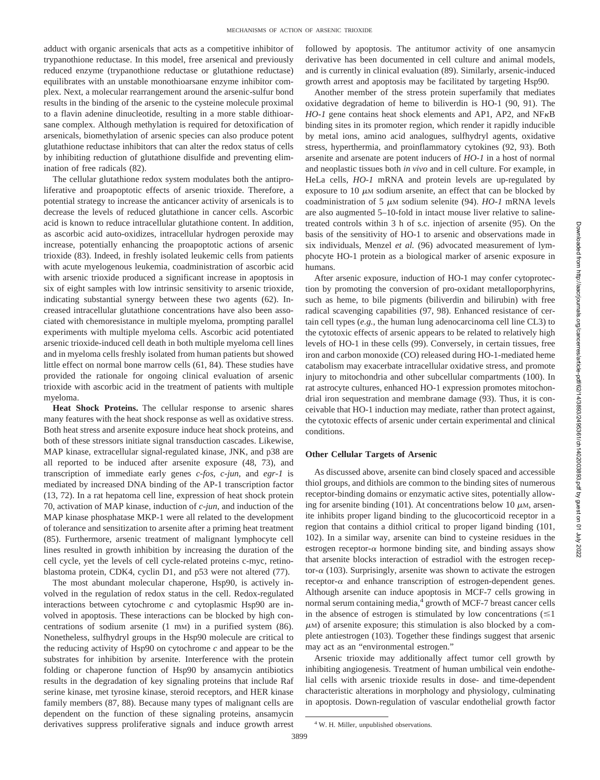adduct with organic arsenicals that acts as a competitive inhibitor of trypanothione reductase. In this model, free arsenical and previously reduced enzyme (trypanothione reductase or glutathione reductase) equilibrates with an unstable monothioarsane enzyme inhibitor complex. Next, a molecular rearrangement around the arsenic-sulfur bond results in the binding of the arsenic to the cysteine molecule proximal to a flavin adenine dinucleotide, resulting in a more stable dithioarsane complex. Although methylation is required for detoxification of arsenicals, biomethylation of arsenic species can also produce potent glutathione reductase inhibitors that can alter the redox status of cells by inhibiting reduction of glutathione disulfide and preventing elimination of free radicals (82).

The cellular glutathione redox system modulates both the antiproliferative and proapoptotic effects of arsenic trioxide. Therefore, a potential strategy to increase the anticancer activity of arsenicals is to decrease the levels of reduced glutathione in cancer cells. Ascorbic acid is known to reduce intracellular glutathione content. In addition, as ascorbic acid auto-oxidizes, intracellular hydrogen peroxide may increase, potentially enhancing the proapoptotic actions of arsenic trioxide (83). Indeed, in freshly isolated leukemic cells from patients with acute myelogenous leukemia, coadministration of ascorbic acid with arsenic trioxide produced a significant increase in apoptosis in six of eight samples with low intrinsic sensitivity to arsenic trioxide, indicating substantial synergy between these two agents (62). Increased intracellular glutathione concentrations have also been associated with chemoresistance in multiple myeloma, prompting parallel experiments with multiple myeloma cells. Ascorbic acid potentiated arsenic trioxide-induced cell death in both multiple myeloma cell lines and in myeloma cells freshly isolated from human patients but showed little effect on normal bone marrow cells (61, 84). These studies have provided the rationale for ongoing clinical evaluation of arsenic trioxide with ascorbic acid in the treatment of patients with multiple myeloma.

**Heat Shock Proteins.** The cellular response to arsenic shares many features with the heat shock response as well as oxidative stress. Both heat stress and arsenite exposure induce heat shock proteins, and both of these stressors initiate signal transduction cascades. Likewise, MAP kinase, extracellular signal-regulated kinase, JNK, and p38 are all reported to be induced after arsenite exposure (48, 73), and transcription of immediate early genes *c-fos*, *c-jun*, and *egr-1* is mediated by increased DNA binding of the AP-1 transcription factor (13, 72). In a rat hepatoma cell line, expression of heat shock protein 70, activation of MAP kinase, induction of *c-jun*, and induction of the MAP kinase phosphatase MKP-1 were all related to the development of tolerance and sensitization to arsenite after a priming heat treatment (85). Furthermore, arsenic treatment of malignant lymphocyte cell lines resulted in growth inhibition by increasing the duration of the cell cycle, yet the levels of cell cycle-related proteins c-myc, retinoblastoma protein, CDK4, cyclin D1, and p53 were not altered (77).

The most abundant molecular chaperone, Hsp90, is actively involved in the regulation of redox status in the cell. Redox-regulated interactions between cytochrome *c* and cytoplasmic Hsp90 are involved in apoptosis. These interactions can be blocked by high concentrations of sodium arsenite (1 mM) in a purified system (86). Nonetheless, sulfhydryl groups in the Hsp90 molecule are critical to the reducing activity of Hsp90 on cytochrome *c* and appear to be the substrates for inhibition by arsenite. Interference with the protein folding or chaperone function of Hsp90 by ansamycin antibiotics results in the degradation of key signaling proteins that include Raf serine kinase, met tyrosine kinase, steroid receptors, and HER kinase family members (87, 88). Because many types of malignant cells are dependent on the function of these signaling proteins, ansamycin derivatives suppress proliferative signals and induce growth arrest

followed by apoptosis. The antitumor activity of one ansamycin derivative has been documented in cell culture and animal models, and is currently in clinical evaluation (89). Similarly, arsenic-induced growth arrest and apoptosis may be facilitated by targeting Hsp90.

Another member of the stress protein superfamily that mediates oxidative degradation of heme to biliverdin is HO-1 (90, 91). The  $HO-1$  gene contains heat shock elements and AP1, AP2, and  $N$ F $\kappa$ B binding sites in its promoter region, which render it rapidly inducible by metal ions, amino acid analogues, sulfhydryl agents, oxidative stress, hyperthermia, and proinflammatory cytokines (92, 93). Both arsenite and arsenate are potent inducers of *HO-1* in a host of normal and neoplastic tissues both *in vivo* and in cell culture. For example, in HeLa cells, *HO-1* mRNA and protein levels are up-regulated by exposure to  $10 \mu$ M sodium arsenite, an effect that can be blocked by coadministration of 5  $\mu$ M sodium selenite (94). *HO-1* mRNA levels are also augmented 5–10-fold in intact mouse liver relative to salinetreated controls within 3 h of s.c. injection of arsenite (95). On the basis of the sensitivity of HO-1 to arsenic and observations made in six individuals, Menzel *et al.* (96) advocated measurement of lymphocyte HO-1 protein as a biological marker of arsenic exposure in humans.

After arsenic exposure, induction of HO-1 may confer cytoprotection by promoting the conversion of pro-oxidant metalloporphyrins, such as heme, to bile pigments (biliverdin and bilirubin) with free radical scavenging capabilities (97, 98). Enhanced resistance of certain cell types (*e.g.,* the human lung adenocarcinoma cell line CL3) to the cytotoxic effects of arsenic appears to be related to relatively high levels of HO-1 in these cells (99). Conversely, in certain tissues, free iron and carbon monoxide (CO) released during HO-1-mediated heme catabolism may exacerbate intracellular oxidative stress, and promote injury to mitochondria and other subcellular compartments (100). In rat astrocyte cultures, enhanced HO-1 expression promotes mitochondrial iron sequestration and membrane damage (93). Thus, it is conceivable that HO-1 induction may mediate, rather than protect against, the cytotoxic effects of arsenic under certain experimental and clinical conditions.

#### **Other Cellular Targets of Arsenic**

As discussed above, arsenite can bind closely spaced and accessible thiol groups, and dithiols are common to the binding sites of numerous receptor-binding domains or enzymatic active sites, potentially allowing for arsenite binding (101). At concentrations below 10  $\mu$ M, arsenite inhibits proper ligand binding to the glucocorticoid receptor in a region that contains a dithiol critical to proper ligand binding (101, 102). In a similar way, arsenite can bind to cysteine residues in the estrogen receptor- $\alpha$  hormone binding site, and binding assays show that arsenite blocks interaction of estradiol with the estrogen receptor- $\alpha$  (103). Surprisingly, arsenite was shown to activate the estrogen receptor- $\alpha$  and enhance transcription of estrogen-dependent genes. Although arsenite can induce apoptosis in MCF-7 cells growing in normal serum containing media,<sup>4</sup> growth of MCF-7 breast cancer cells in the absence of estrogen is stimulated by low concentrations  $(\leq 1)$  $\mu$ M) of arsenite exposure; this stimulation is also blocked by a complete antiestrogen (103). Together these findings suggest that arsenic may act as an "environmental estrogen."

Arsenic trioxide may additionally affect tumor cell growth by inhibiting angiogenesis. Treatment of human umbilical vein endothelial cells with arsenic trioxide results in dose- and time-dependent characteristic alterations in morphology and physiology, culminating in apoptosis. Down-regulation of vascular endothelial growth factor

<sup>4</sup> W. H. Miller, unpublished observations.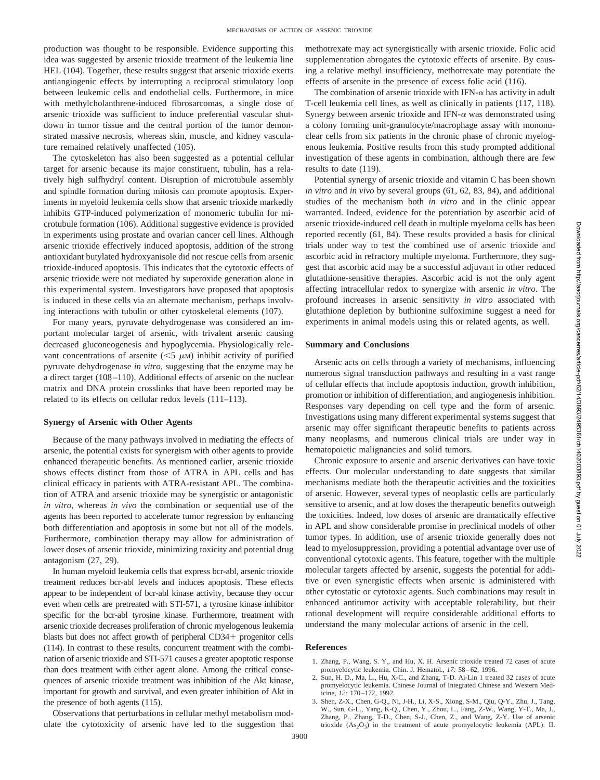production was thought to be responsible. Evidence supporting this idea was suggested by arsenic trioxide treatment of the leukemia line HEL (104). Together, these results suggest that arsenic trioxide exerts antiangiogenic effects by interrupting a reciprocal stimulatory loop between leukemic cells and endothelial cells. Furthermore, in mice with methylcholanthrene-induced fibrosarcomas, a single dose of arsenic trioxide was sufficient to induce preferential vascular shutdown in tumor tissue and the central portion of the tumor demonstrated massive necrosis, whereas skin, muscle, and kidney vasculature remained relatively unaffected (105).

The cytoskeleton has also been suggested as a potential cellular target for arsenic because its major constituent, tubulin, has a relatively high sulfhydryl content. Disruption of microtubule assembly and spindle formation during mitosis can promote apoptosis. Experiments in myeloid leukemia cells show that arsenic trioxide markedly inhibits GTP-induced polymerization of monomeric tubulin for microtubule formation (106). Additional suggestive evidence is provided in experiments using prostate and ovarian cancer cell lines. Although arsenic trioxide effectively induced apoptosis, addition of the strong antioxidant butylated hydroxyanisole did not rescue cells from arsenic trioxide-induced apoptosis. This indicates that the cytotoxic effects of arsenic trioxide were not mediated by superoxide generation alone in this experimental system. Investigators have proposed that apoptosis is induced in these cells via an alternate mechanism, perhaps involving interactions with tubulin or other cytoskeletal elements (107).

For many years, pyruvate dehydrogenase was considered an important molecular target of arsenic, with trivalent arsenic causing decreased gluconeogenesis and hypoglycemia. Physiologically relevant concentrations of arsenite  $(< 5 \mu M)$  inhibit activity of purified pyruvate dehydrogenase *in vitro*, suggesting that the enzyme may be a direct target (108–110). Additional effects of arsenic on the nuclear matrix and DNA protein crosslinks that have been reported may be related to its effects on cellular redox levels (111–113).

# **Synergy of Arsenic with Other Agents**

Because of the many pathways involved in mediating the effects of arsenic, the potential exists for synergism with other agents to provide enhanced therapeutic benefits. As mentioned earlier, arsenic trioxide shows effects distinct from those of ATRA in APL cells and has clinical efficacy in patients with ATRA-resistant APL. The combination of ATRA and arsenic trioxide may be synergistic or antagonistic *in vitro*, whereas *in vivo* the combination or sequential use of the agents has been reported to accelerate tumor regression by enhancing both differentiation and apoptosis in some but not all of the models. Furthermore, combination therapy may allow for administration of lower doses of arsenic trioxide, minimizing toxicity and potential drug antagonism (27, 29).

In human myeloid leukemia cells that express bcr-abl, arsenic trioxide treatment reduces bcr-abl levels and induces apoptosis. These effects appear to be independent of bcr-abl kinase activity, because they occur even when cells are pretreated with STI-571, a tyrosine kinase inhibitor specific for the bcr-abl tyrosine kinase. Furthermore, treatment with arsenic trioxide decreases proliferation of chronic myelogenous leukemia blasts but does not affect growth of peripheral  $CD34+$  progenitor cells (114). In contrast to these results, concurrent treatment with the combination of arsenic trioxide and STI-571 causes a greater apoptotic response than does treatment with either agent alone. Among the critical consequences of arsenic trioxide treatment was inhibition of the Akt kinase, important for growth and survival, and even greater inhibition of Akt in the presence of both agents (115).

Observations that perturbations in cellular methyl metabolism modulate the cytotoxicity of arsenic have led to the suggestion that methotrexate may act synergistically with arsenic trioxide. Folic acid supplementation abrogates the cytotoxic effects of arsenite. By causing a relative methyl insufficiency, methotrexate may potentiate the effects of arsenite in the presence of excess folic acid (116).

The combination of arsenic trioxide with IFN- $\alpha$  has activity in adult T-cell leukemia cell lines, as well as clinically in patients (117, 118). Synergy between arsenic trioxide and IFN- $\alpha$  was demonstrated using a colony forming unit-granulocyte/macrophage assay with mononuclear cells from six patients in the chronic phase of chronic myelogenous leukemia. Positive results from this study prompted additional investigation of these agents in combination, although there are few results to date (119).

Potential synergy of arsenic trioxide and vitamin C has been shown *in vitro* and *in vivo* by several groups (61, 62, 83, 84), and additional studies of the mechanism both *in vitro* and in the clinic appear warranted. Indeed, evidence for the potentiation by ascorbic acid of arsenic trioxide-induced cell death in multiple myeloma cells has been reported recently (61, 84). These results provided a basis for clinical trials under way to test the combined use of arsenic trioxide and ascorbic acid in refractory multiple myeloma. Furthermore, they suggest that ascorbic acid may be a successful adjuvant in other reduced glutathione-sensitive therapies. Ascorbic acid is not the only agent affecting intracellular redox to synergize with arsenic *in vitro*. The profound increases in arsenic sensitivity *in vitro* associated with glutathione depletion by buthionine sulfoximine suggest a need for experiments in animal models using this or related agents, as well.

#### **Summary and Conclusions**

Arsenic acts on cells through a variety of mechanisms, influencing numerous signal transduction pathways and resulting in a vast range of cellular effects that include apoptosis induction, growth inhibition, promotion or inhibition of differentiation, and angiogenesis inhibition. Responses vary depending on cell type and the form of arsenic. Investigations using many different experimental systems suggest that arsenic may offer significant therapeutic benefits to patients across many neoplasms, and numerous clinical trials are under way in hematopoietic malignancies and solid tumors.

Chronic exposure to arsenic and arsenic derivatives can have toxic effects. Our molecular understanding to date suggests that similar mechanisms mediate both the therapeutic activities and the toxicities of arsenic. However, several types of neoplastic cells are particularly sensitive to arsenic, and at low doses the therapeutic benefits outweigh the toxicities. Indeed, low doses of arsenic are dramatically effective in APL and show considerable promise in preclinical models of other tumor types. In addition, use of arsenic trioxide generally does not lead to myelosuppression, providing a potential advantage over use of conventional cytotoxic agents. This feature, together with the multiple molecular targets affected by arsenic, suggests the potential for additive or even synergistic effects when arsenic is administered with other cytostatic or cytotoxic agents. Such combinations may result in enhanced antitumor activity with acceptable tolerability, but their rational development will require considerable additional efforts to understand the many molecular actions of arsenic in the cell.

#### **References**

- 1. Zhang, P., Wang, S. Y., and Hu, X. H. Arsenic trioxide treated 72 cases of acute promyelocytic leukemia. Chin. J. Hematol., *17:* 58–62, 1996.
- 2. Sun, H. D., Ma, L., Hu, X-C., and Zhang, T-D. Ai-Lin 1 treated 32 cases of acute promyelocytic leukemia. Chinese Journal of Integrated Chinese and Western Medicine, *12:* 170–172, 1992.
- 3. Shen, Z-X., Chen, G-Q., Ni, J-H., Li, X-S., Xiong, S-M., Qiu, Q-Y., Zhu, J., Tang, W., Sun, G-L., Yang, K-Q., Chen, Y., Zhou, L., Fang, Z-W., Wang, Y-T., Ma, J., Zhang, P., Zhang, T-D., Chen, S-J., Chen, Z., and Wang, Z-Y. Use of arsenic trioxide  $(As<sub>2</sub>O<sub>3</sub>)$  in the treatment of acute promyelocytic leukemia (APL): II.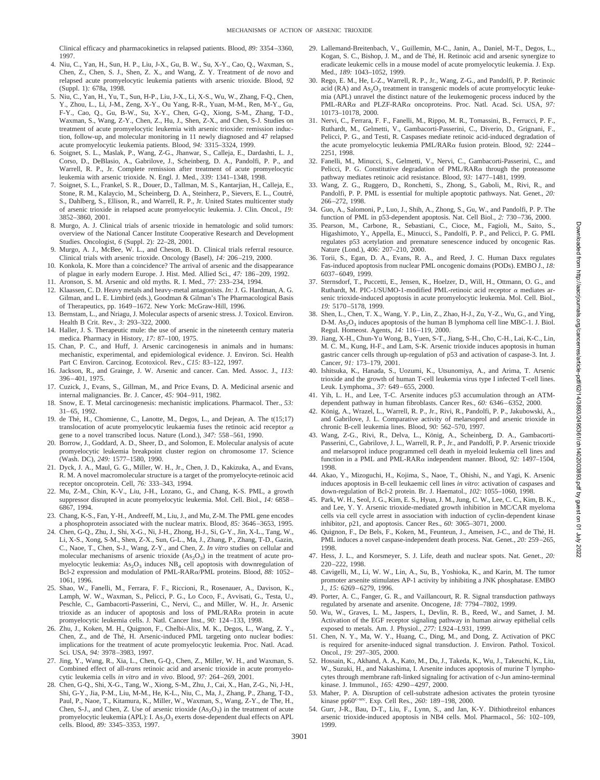Clinical efficacy and pharmacokinetics in relapsed patients. Blood, *89:* 3354–3360, 1997.

- 4. Niu, C., Yan, H., Sun, H. P., Liu, J-X., Gu, B. W., Su, X-Y., Cao, Q., Waxman, S., Chen, Z., Chen, S. J., Shen, Z. X., and Wang, Z. Y. Treatment of *de novo* and relapsed acute promyelocytic leukemia patients with arsenic trioxide. Blood, *92* (Suppl. 1)*:* 678a, 1998.
- 5. Niu, C., Yan, H., Yu, T., Sun, H-P., Liu, J-X., Li, X-S., Wu, W., Zhang, F-Q., Chen, Y., Zhou, L., Li, J-M., Zeng, X-Y., Ou Yang, R-R., Yuan, M-M., Ren, M-Y., Gu, F-Y., Cao, Q., Gu, B-W., Su, X-Y., Chen, G-Q., Xiong, S-M., Zhang, T-D., Waxman, S., Wang, Z-Y., Chen, Z., Hu, J., Shen, Z-X., and Chen, S-J. Studies on treatment of acute promyelocytic leukemia with arsenic trioxide: remission induction, follow-up, and molecular monitoring in 11 newly diagnosed and 47 relapsed acute promyelocytic leukemia patients. Blood, *94:* 3315–3324, 1999.
- 6. Soignet, S. L., Maslak, P., Wang, Z-G., Jhanwar, S., Calleja, E., Dardashti, L. J., Corso, D., DeBlasio, A., Gabrilove, J., Scheinberg, D. A., Pandolfi, P. P., and Warrell, R. P., Jr. Complete remission after treatment of acute promyelocytic leukemia with arsenic trioxide. N. Engl. J. Med., *339:* 1341–1348, 1998.
- 7. Soignet, S. L., Frankel, S. R., Douer, D., Tallman, M. S., Kantarjian, H., Calleja, E., Stone, R. M., Kalaycio, M., Scheinberg, D. A., Steinherz, P., Sievers, E. L., Coutré, S., Dahlberg, S., Ellison, R., and Warrell, R. P., Jr. United States multicenter study of arsenic trioxide in relapsed acute promyelocytic leukemia. J. Clin. Oncol., *19:* 3852–3860, 2001.
- 8. Murgo, A. J. Clinical trials of arsenic trioxide in hematologic and solid tumors: overview of the National Cancer Institute Cooperative Research and Development Studies. Oncologist, *6* (Suppl. 2)*:* 22–28, 2001.
- 9. Murgo, A. J., McBee, W. L., and Cheson, B. D. Clinical trials referral resource. Clinical trials with arsenic trioxide. Oncology (Basel), *14:* 206–219, 2000.
- 10. Konkola, K. More than a coincidence? The arrival of arsenic and the disappearance of plague in early modern Europe. J. Hist. Med. Allied Sci., *47:* 186–209, 1992.
- 11. Aronson, S. M. Arsenic and old myths. R. I. Med., *77:* 233–234, 1994.
- 12. Klaassen, C. D. Heavy metals and heavy-metal antagonists. *In:* J. G. Hardman, A. G. Gilman, and L. E. Limbird (eds.), Goodman & Gilman's The Pharmacological Basis of Therapeutics, pp. 1649–1672. New York: McGraw-Hill, 1996.
- 13. Bernstam, L., and Nriagu, J. Molecular aspects of arsenic stress. J. Toxicol. Environ. Health B Crit. Rev., *3:* 293–322, 2000.
- 14. Haller, J. S. Therapeutic mule: the use of arsenic in the nineteenth century materia medica. Pharmacy in History, *17:* 87–100, 1975.
- 15. Chan, P. C., and Huff, J. Arsenic carcinogenesis in animals and in humans: mechanistic, experimental, and epidemiological evidence. J. Environ. Sci. Health Part C Environ. Carcinog. Ecotoxicol. Rev., *C15:* 83–122, 1997.
- 16. Jackson, R., and Grainge, J. W. Arsenic and cancer. Can. Med. Assoc. J., *113:* 396–401, 1975.
- 17. Cuzick, J., Evans, S., Gillman, M., and Price Evans, D. A. Medicinal arsenic and internal malignancies. Br. J. Cancer, *45:* 904–911, 1982.
- 18. Snow, E. T. Metal carcinogenesis: mechanistic implications. Pharmacol. Ther., *53:* 31–65, 1992.
- 19. de Thé, H., Chomienne, C., Lanotte, M., Degos, L., and Dejean, A. The t(15;17) translocation of acute promyelocytic leukaemia fuses the retinoic acid receptor  $\alpha$ gene to a novel transcribed locus. Nature (Lond.), *347:* 558–561, 1990.
- 20. Borrow, J., Goddard, A. D., Sheer, D., and Solomon, E. Molecular analysis of acute promyelocytic leukemia breakpoint cluster region on chromosome 17. Science (Wash. DC), *249:* 1577–1580, 1990.
- 21. Dyck, J. A., Maul, G. G., Miller, W. H., Jr., Chen, J. D., Kakizuka, A., and Evans, R. M. A novel macromolecular structure is a target of the promyelocyte-retinoic acid receptor oncoprotein. Cell, *76:* 333–343, 1994.
- 22. Mu, Z-M., Chin, K-V., Liu, J-H., Lozano, G., and Chang, K-S. PML, a growth suppressor disrupted in acute promyelocytic leukemia. Mol. Cell. Biol., *14:* 6858– 6867, 1994.
- 23. Chang, K-S., Fan, Y-H., Andreeff, M., Liu, J., and Mu, Z-M. The PML gene encodes a phosphoprotein associated with the nuclear matrix. Blood, *85:* 3646–3653, 1995.
- 24. Chen, G-Q., Zhu, J., Shi, X-G., Ni, J-H., Zhong, H-J., Si, G-Y., Jin, X-L., Tang, W., Li, X-S., Xong, S-M., Shen, Z-X., Sun, G-L., Ma, J., Zhang, P., Zhang, T-D., Gazin, C., Naoe, T., Chen, S-J., Wang, Z-Y., and Chen, Z. *In vitro* studies on cellular and molecular mechanisms of arsenic trioxide  $(As<sub>2</sub>O<sub>3</sub>)$  in the treatment of acute promyelocytic leukemia:  $As<sub>2</sub>O<sub>3</sub>$  induces  $NB<sub>4</sub>$  cell apoptosis with downregulation of Bcl-2 expression and modulation of PML-RAR $\alpha$ /PML proteins. Blood, 88: 1052– 1061, 1996.
- 25. Shao, W., Fanelli, M., Ferrara, F. F., Riccioni, R., Rosenauer, A., Davison, K., Lamph, W. W., Waxman, S., Pelicci, P. G., Lo Coco, F., Avvisati, G., Testa, U., Peschle, C., Gambacorti-Passerini, C., Nervi, C., and Miller, W. H., Jr. Arsenic trioxide as an inducer of apoptosis and loss of  $PML/RAR\alpha$  protein in acute promyelocytic leukemia cells. J. Natl. Cancer Inst., *90:* 124–133, 1998.
- 26. Zhu, J., Koken, M. H., Quignon, F., Chelbi-Alix, M. K., Degos, L., Wang, Z. Y., Chen, Z., and de Thé, H. Arsenic-induced PML targeting onto nuclear bodies: implications for the treatment of acute promyelocytic leukemia. Proc. Natl. Acad. Sci. USA, *94:* 3978–3983, 1997.
- 27. Jing, Y., Wang, R., Xia, L., Chen, G-Q., Chen, Z., Miller, W. H., and Waxman, S. Combined effect of all-*trans* retinoic acid and arsenic trioxide in acute promyelocytic leukemia cells *in vitro* and *in vivo*. Blood, *97:* 264–269, 2001.
- 28. Chen, G-Q., Shi, X-G., Tang, W., Xiong, S-M., Zhu, J., Cai, X., Han, Z-G., Ni, J-H., Shi, G-Y., Jia, P-M., Liu, M-M., He, K-L., Niu, C., Ma, J., Zhang, P., Zhang, T-D., Paul, P., Naoe, T., Kitamura, K., Miller, W., Waxman, S., Wang, Z-Y., de The, H., Chen, S-J., and Chen, Z. Use of arsenic trioxide  $(As<sub>2</sub>O<sub>3</sub>)$  in the treatment of acute promyelocytic leukemia (APL): I. As<sub>2</sub>O<sub>3</sub> exerts dose-dependent dual effects on APL cells. Blood, *89:* 3345–3353, 1997.
- 29. Lallemand-Breitenbach, V., Guillemin, M-C., Janin, A., Daniel, M-T., Degos, L., Kogan, S. C., Bishop, J. M., and de Thé, H. Retinoic acid and arsenic synergize to eradicate leukemic cells in a mouse model of acute promyelocytic leukemia. J. Exp. Med., *189:* 1043–1052, 1999.
- 30. Rego, E. M., He, L-Z., Warrell, R. P., Jr., Wang, Z-G., and Pandolfi, P. P. Retinoic acid (RA) and  $As<sub>2</sub>O<sub>3</sub>$  treatment in transgenic models of acute promyelocytic leukemia (APL) unravel the distinct nature of the leukemogenic process induced by the PML-RARα and PLZF-RARα oncoproteins. Proc. Natl. Acad. Sci. USA, 97: 10173–10178, 2000.
- 31. Nervi, C., Ferrara, F. F., Fanelli, M., Rippo, M. R., Tomassini, B., Ferrucci, P. F., Ruthardt, M., Gelmetti, V., Gambacorti-Passerini, C., Diverio, D., Grignani, F., Pelicci, P. G., and Testi, R. Caspases mediate retinoic acid-induced degradation of the acute promyelocytic leukemia PML/RARα fusion protein. Blood, 92: 2244-2251, 1998.
- 32. Fanelli, M., Minucci, S., Gelmetti, V., Nervi, C., Gambacorti-Passerini, C., and Pelicci, P. G. Constitutive degradation of  $PML/RAR\alpha$  through the proteasome pathway mediates retinoic acid resistance. Blood, *93:* 1477–1481, 1999.
- 33. Wang, Z. G., Ruggero, D., Ronchetti, S., Zhong, S., Gaboli, M., Rivi, R., and Pandolfi, P. P. PML is essential for multiple apoptotic pathways. Nat. Genet., *20:* 266–272, 1998.
- 34. Guo, A., Salomoni, P., Luo, J., Shih, A., Zhong, S., Gu, W., and Pandolfi, P. P. The function of PML in p53-dependent apoptosis. Nat. Cell Biol., *2:* 730–736, 2000.
- 35. Pearson, M., Carbone, R., Sebastiani, C., Cioce, M., Fagioli, M., Saito, S., Higashimoto, Y., Appella, E., Minucci, S., Pandolfi, P. P., and Pelicci, P. G. PML regulates p53 acetylation and premature senescence induced by oncogenic Ras. Nature (Lond.), *406:* 207–210, 2000.
- 36. Torii, S., Egan, D. A., Evans, R. A., and Reed, J. C. Human Daxx regulates Fas-induced apoptosis from nuclear PML oncogenic domains (PODs). EMBO J., *18:* 6037–6049, 1999.
- 37. Sternsdorf, T., Puccetti, E., Jensen, K., Hoelzer, D., Will, H., Ottmann, O. G., and Ruthardt, M. PIC-1/SUMO-1-modified PML-retinoic acid receptor  $\alpha$  mediates arsenic trioxide-induced apoptosis in acute promyelocytic leukemia. Mol. Cell. Biol., *19:* 5170–5178, 1999.
- 38. Shen, L., Chen, T. X., Wang, Y. P., Lin, Z., Zhao, H-J., Zu, Y-Z., Wu, G., and Ying, D-M.  $As<sub>2</sub>O<sub>3</sub>$  induces apoptosis of the human B lymphoma cell line MBC-1. J. Biol. Regul. Homeost. Agents, *14:* 116–119, 2000.
- 39. Jiang, X-H., Chun-Yu Wong, B., Yuen, S-T., Jiang, S-H., Cho, C-H., Lai, K-C., Lin, M. C. M., Kung, H-F., and Lam, S-K. Arsenic trioxide induces apoptosis in human gastric cancer cells through up-regulation of p53 and activation of caspase-3. Int. J. Cancer, *91:* 173–179, 2001.
- 40. Ishitsuka, K., Hanada, S., Uozumi, K., Utsunomiya, A., and Arima, T. Arsenic trioxide and the growth of human T-cell leukemia virus type I infected T-cell lines. Leuk. Lymphoma., *37:* 649–655, 2000.
- 41. Yih, L. H., and Lee, T-C. Arsenite induces p53 accumulation through an ATMdependent pathway in human fibroblasts. Cancer Res., *60:* 6346–6352, 2000.
- 42. König, A., Wrazel, L., Warrell, R. P., Jr., Rivi, R., Pandolfi, P. P., Jakubowski, A., and Gabrilove, J. L. Comparative activity of melarsoprol and arsenic trioxide in chronic B-cell leukemia lines. Blood, *90:* 562–570, 1997.
- 43. Wang, Z-G., Rivi, R., Delva, L., König, A., Scheinberg, D. A., Gambacorti-Passerini, C., Gabrilove, J. L., Warrell, R. P., Jr., and Pandolfi, P. P. Arsenic trioxide and melarsoprol induce programmed cell death in myeloid leukemia cell lines and function in a PML and PML-RARα independent manner. Blood, 92: 1497-1504, 1998.
- 44. Akao, Y., Mizoguchi, H., Kojima, S., Naoe, T., Ohishi, N., and Yagi, K. Arsenic induces apoptosis in B-cell leukaemic cell lines *in vitro*: activation of caspases and down-regulation of Bcl-2 protein. Br. J. Haematol., *102:* 1055–1060, 1998.
- 45. Park, W. H., Seol, J. G., Kim, E. S., Hyun, J. M., Jung, C. W., Lee, C. C., Kim, B. K., and Lee, Y. Y. Arsenic trioxide-mediated growth inhibition in MC/CAR myeloma cells via cell cycle arrest in association with induction of cyclin-dependent kinase inhibitor, p21, and apoptosis. Cancer Res., *60:* 3065–3071, 2000.
- 46. Quignon, F., De Bels, F., Koken, M., Feunteun, J., Ameisen, J-C., and de Thé, H. PML induces a novel caspase-independent death process. Nat. Genet., *20:* 259–265, 1998.
- 47. Hess, J. L., and Korsmeyer, S. J. Life, death and nuclear spots. Nat. Genet., *20:* 220–222, 1998.
- 48. Cavigelli, M., Li, W. W., Lin, A., Su, B., Yoshioka, K., and Karin, M. The tumor promoter arsenite stimulates AP-1 activity by inhibiting a JNK phosphatase. EMBO J., *15:* 6269–6279, 1996.
- 49. Porter, A. C., Fanger, G. R., and Vaillancourt, R. R. Signal transduction pathways regulated by arsenate and arsenite. Oncogene, *18:* 7794–7802, 1999.
- 50. Wu, W., Graves, L. M., Jaspers, I., Devlin, R. B., Reed, W., and Samet, J. M. Activation of the EGF receptor signaling pathway in human airway epithelial cells exposed to metals. Am. J. Physiol., *277:* L924–L931, 1999.
- 51. Chen, N. Y., Ma, W. Y., Huang, C., Ding, M., and Dong, Z. Activation of PKC is required for arsenite-induced signal transduction. J. Environ. Pathol. Toxicol. Oncol., *19:* 297–305, 2000.
- 52. Hossain, K., Akhand, A. A., Kato, M., Du, J., Takeda, K., Wu, J., Takeuchi, K., Liu, W., Suzuki, H., and Nakashima, I. Arsenite induces apoptosis of murine T lymphocytes through membrane raft-linked signaling for activation of c-Jun amino-terminal kinase. J. Immunol., *165:* 4290–4297, 2000.
- 53. Maher, P. A. Disruption of cell-substrate adhesion activates the protein tyrosine kinase pp60<sup>c-src</sup>. Exp. Cell Res., 260: 189-198, 2000.
- 54. Gurr, J-R., Bau, D-T., Liu, F., Lynn, S., and Jan, K-Y. Dithiothreitol enhances arsenic trioxide-induced apoptosis in NB4 cells. Mol. Pharmacol., *56:* 102–109, 1999.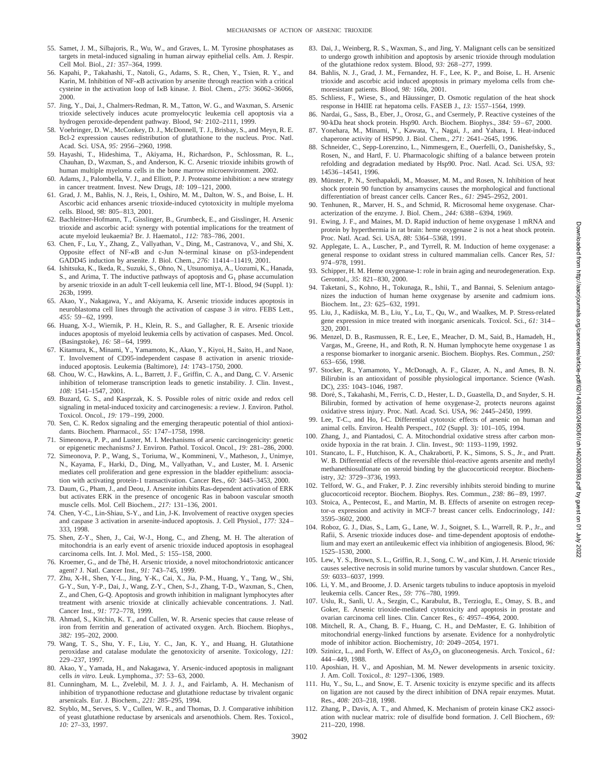- 55. Samet, J. M., Silbajoris, R., Wu, W., and Graves, L. M. Tyrosine phosphatases as targets in metal-induced signaling in human airway epithelial cells. Am. J. Respir. Cell Mol. Biol., *21:* 357–364, 1999.
- 56. Kapahi, P., Takahashi, T., Natoli, G., Adams, S. R., Chen, Y., Tsien, R. Y., and Karin, M. Inhibition of NF- $\kappa$ B activation by arsenite through reaction with a critical cysteine in the activation loop of I<sub>K</sub>B kinase. J. Biol. Chem., 275: 36062-36066, 2000.
- 57. Jing, Y., Dai, J., Chalmers-Redman, R. M., Tatton, W. G., and Waxman, S. Arsenic trioxide selectively induces acute promyelocytic leukemia cell apoptosis via a hydrogen peroxide-dependent pathway. Blood, *94:* 2102–2111, 1999.
- Voehringer, D. W., McConkey, D. J., McDonnell, T. J., Brisbay, S., and Meyn, R. E. Bcl-2 expression causes redistribution of glutathione to the nucleus. Proc. Natl. Acad. Sci. USA, *95:* 2956–2960, 1998.
- 59. Hayashi, T., Hideshima, T., Akiyama, H., Richardson, P., Schlossman, R. L., Chauhan, D., Waxman, S., and Anderson, K. C. Arsenic trioxide inhibits growth of human multiple myeloma cells in the bone marrow microenvironment. 2002.
- 60. Adams, J., Palombella, V. J., and Elliott, P. J. Proteasome inhibition: a new strategy in cancer treatment. Invest. New Drugs, *18:* 109–121, 2000.
- 61. Grad, J. M., Bahlis, N. J., Reis, I., Oshiro, M. M., Dalton, W. S., and Boise, L. H. Ascorbic acid enhances arsenic trioxide-induced cytotoxicity in multiple myeloma cells. Blood, *98:* 805–813, 2001.
- 62. Bachleitner-Hofmann, T., Gisslinger, B., Grumbeck, E., and Gisslinger, H. Arsenic trioxide and ascorbic acid: synergy with potential implications for the treatment of acute myeloid leukaemia? Br. J. Haematol., *112:* 783–786, 2001.
- 63. Chen, F., Lu, Y., Zhang, Z., Vallyathan, V., Ding, M., Castranova, V., and Shi, X. Opposite effect of NF- $\kappa$ B and c-Jun N-terminal kinase on p53-independent GADD45 induction by arsenite. J. Biol. Chem., *276:* 11414–11419, 2001.
- 64. Ishitsuka, K., Ikeda, R., Suzuki, S., Ohno, N., Utsunomiya, A., Uozumi, K., Hanada, S., and Arima, T. The inductive pathways of apoptosis and  $G_1$  phase accumulation by arsenic trioxide in an adult T-cell leukemia cell line, MT-1. Blood, *94* (Suppl. 1)*:* 263b, 1999
- 65. Akao, Y., Nakagawa, Y., and Akiyama, K. Arsenic trioxide induces apoptosis in neuroblastoma cell lines through the activation of caspase 3 *in vitro*. FEBS Lett., *455:* 59–62, 1999.
- 66. Huang, X-J., Wiernik, P. H., Klein, R. S., and Gallagher, R. E. Arsenic trioxide induces apoptosis of myeloid leukemia cells by activation of caspases. Med. Oncol. (Basingstoke), *16:* 58–64, 1999.
- 67. Kitamura, K., Minami, Y., Yamamoto, K., Akao, Y., Kiyoi, H., Saito, H., and Naoe, T. Involvement of CD95-independent caspase 8 activation in arsenic trioxideinduced apoptosis. Leukemia (Baltimore), *14:* 1743–1750, 2000.
- 68. Chou, W. C., Hawkins, A. L., Barrett, J. F., Griffin, C. A., and Dang, C. V. Arsenic inhibition of telomerase transcription leads to genetic instability. J. Clin. Invest., *108:* 1541–1547, 2001.
- 69. Buzard, G. S., and Kasprzak, K. S. Possible roles of nitric oxide and redox cell signaling in metal-induced toxicity and carcinogenesis: a review. J. Environ. Pathol. Toxicol. Oncol., *19:* 179–199, 2000.
- 70. Sen, C. K. Redox signaling and the emerging therapeutic potential of thiol antioxidants. Biochem. Pharmacol., *55:* 1747–1758, 1998.
- 71. Simeonova, P. P., and Luster, M. I. Mechanisms of arsenic carcinogenicity: genetic or epigenetic mechanisms? J. Environ. Pathol. Toxicol. Oncol., *19:* 281–286, 2000.
- 72. Simeonova, P. P., Wang, S., Toriuma, W., Kommineni, V., Matheson, J., Unimye, N., Kayama, F., Harki, D., Ding, M., Vallyathan, V., and Luster, M. I. Arsenic mediates cell proliferation and gene expression in the bladder epithelium: association with activating protein-1 transactivation. Cancer Res., *60:* 3445–3453, 2000.
- 73. Daum, G., Pham, J., and Deou, J. Arsenite inhibits Ras-dependent activation of ERK but activates ERK in the presence of oncogenic Ras in baboon vascular smooth muscle cells. Mol. Cell Biochem., *217:* 131–136, 2001.
- 74. Chen, Y-C., Lin-Shiau, S-Y., and Lin, J-K. Involvement of reactive oxygen species and caspase 3 activation in arsenite-induced apoptosis. J. Cell Physiol., *177:* 324– 333, 1998.
- 75. Shen, Z-Y., Shen, J., Cai, W-J., Hong, C., and Zheng, M. H. The alteration of mitochondria is an early event of arsenic trioxide induced apoptosis in esophageal carcinoma cells. Int. J. Mol. Med., *5:* 155–158, 2000.
- 76. Kroemer, G., and de The´, H. Arsenic trioxide, a novel mitochondriotoxic anticancer agent? J. Natl. Cancer Inst., *91:* 743–745, 1999.
- 77. Zhu, X-H., Shen, Y-L., Jing, Y-K., Cai, X., Jia, P-M., Huang, Y., Tang, W., Shi, G-Y., Sun, Y-P., Dai, J., Wang, Z-Y., Chen, S-J., Zhang, T-D., Waxman, S., Chen, Z., and Chen, G-Q. Apoptosis and growth inhibition in malignant lymphocytes after treatment with arsenic trioxide at clinically achievable concentrations. J. Natl. Cancer Inst., *91:* 772–778, 1999.
- 78. Ahmad, S., Kitchin, K. T., and Cullen, W. R. Arsenic species that cause release of iron from ferritin and generation of activated oxygen. Arch. Biochem. Biophys., *382:* 195–202, 2000.
- 79. Wang, T. S., Shu, Y. F., Liu, Y. C., Jan, K. Y., and Huang, H. Glutathione peroxidase and catalase modulate the genotoxicity of arsenite. Toxicology, *121:* 229–237, 1997.
- 80. Akao, Y., Yamada, H., and Nakagawa, Y. Arsenic-induced apoptosis in malignant cells *in vitro.* Leuk. Lymphoma., *37:* 53–63, 2000.
- 81. Cunningham, M. L., Zvelebil, M. J. J. J., and Fairlamb, A. H. Mechanism of inhibition of trypanothione reductase and glutathione reductase by trivalent organic arsenicals. Eur. J. Biochem., *221:* 285–295, 1994.
- 82. Styblo, M., Serves, S. V., Cullen, W. R., and Thomas, D. J. Comparative inhibition of yeast glutathione reductase by arsenicals and arsenothiols. Chem. Res. Toxicol., *10:* 27–33, 1997.
- 83. Dai, J., Weinberg, R. S., Waxman, S., and Jing, Y. Malignant cells can be sensitized to undergo growth inhibition and apoptosis by arsenic trioxide through modulation of the glutathione redox system. Blood, *93:* 268–277, 1999.
- 84. Bahlis, N. J., Grad, J. M., Fernandez, H. F., Lee, K. P., and Boise, L. H. Arsenic trioxide and ascorbic acid induced apoptosis in primary myeloma cells from chemoresistant patients. Blood, *98:* 160a, 2001.
- 85. Schliess, F., Wiese, S., and Häussinger, D. Osmotic regulation of the heat shock response in H4IIE rat hepatoma cells. FASEB J., *13:* 1557–1564, 1999.
- 86. Nardai, G., Sass, B., Eber, J., Orosz, G., and Csermely, P. Reactive cysteines of the 90-kDa heat shock protein. Hsp90. Arch. Biochem. Biophys., *384:* 59–67, 2000.
- 87. Yonehara, M., Minami, Y., Kawata, Y., Nagai, J., and Yahara, I. Heat-induced chaperone activity of HSP90. J. Biol. Chem., *271:* 2641–2645, 1996.
- 88. Schneider, C., Sepp-Lorenzino, L., Nimmesgern, E., Ouerfelli, O., Danishefsky, S., Rosen, N., and Hartl, F. U. Pharmacologic shifting of a balance between protein refolding and degradation mediated by Hsp90. Proc. Natl. Acad. Sci. USA, *93:* 14536–14541, 1996.
- 89. Münster, P. N., Srethapakdi, M., Moasser, M. M., and Rosen, N. Inhibition of heat shock protein 90 function by ansamycins causes the morphological and functional differentiation of breast cancer cells. Cancer Res., *61:* 2945–2952, 2001.
- 90. Tenhunen, R., Marver, H. S., and Schmid, R. Microsomal heme oxygenase. Characterization of the enzyme. J. Biol. Chem., *244:* 6388–6394, 1969.
- 91. Ewing, J. F., and Maines, M. D. Rapid induction of heme oxygenase 1 mRNA and protein by hyperthermia in rat brain: heme oxygenase 2 is not a heat shock protein. Proc. Natl. Acad. Sci. USA, *88:* 5364–5368, 1991.
- 92. Applegate, L. A., Luscher, P., and Tyrrell, R. M. Induction of heme oxygenase: a general response to oxidant stress in cultured mammalian cells. Cancer Res, *51:* 974–978, 1991.
- 93. Schipper, H. M. Heme oxygenase-1: role in brain aging and neurodegeneration. Exp. Gerontol., *35:* 821–830, 2000.
- 94. Taketani, S., Kohno, H., Tokunaga, R., Ishii, T., and Bannai, S. Selenium antagonizes the induction of human heme oxygenase by arsenite and cadmium ions. Biochem. Int., *23:* 625–632, 1991.
- 95. Liu, J., Kadiiska, M. B., Liu, Y., Lu, T., Qu, W., and Waalkes, M. P. Stress-related gene expression in mice treated with inorganic arsenicals. Toxicol. Sci., *61:* 314– 320, 2001.
- 96. Menzel, D. B., Rasmussen, R. E., Lee, E., Meacher, D. M., Said, B., Hamadeh, H., Vargas, M., Greene, H., and Roth, R. N. Human lymphocyte heme oxygenase 1 as a response biomarker to inorganic arsenic. Biochem. Biophys. Res. Commun., *250:* 653–656, 1998.
- 97. Stocker, R., Yamamoto, Y., McDonagh, A. F., Glazer, A. N., and Ames, B. N. Bilirubin is an antioxidant of possible physiological importance. Science (Wash. DC), *235:* 1043–1046, 1987.
- 98. Doré, S., Takahashi, M., Ferris, C. D., Hester, L. D., Guastella, D., and Snyder, S. H. Bilirubin, formed by activation of heme oxygenase-2, protects neurons against oxidative stress injury. Proc. Natl. Acad. Sci. USA, *96:* 2445–2450, 1999.
- 99. Lee, T-C., and Ho, I-C. Differential cytotoxic effects of arsenic on human and animal cells. Environ. Health Perspect., *102* (Suppl. 3)*:* 101–105, 1994.
- 100. Zhang, J., and Piantadosi, C. A. Mitochondrial oxidative stress after carbon monoxide hypoxia in the rat brain. J. Clin. Invest., *90:* 1193–1199, 1992.
- 101. Stancato, L. F., Hutchison, K. A., Chakraborti, P. K., Simons, S. S., Jr., and Pratt. W. B. Differential effects of the reversible thiol-reactive agents arsenite and methyl methanethiosulfonate on steroid binding by the glucocorticoid receptor. Biochemistry, *32:* 3729–3736, 1993.
- 102. Telford, W. G., and Fraker, P. J. Zinc reversibly inhibits steroid binding to murine glucocorticoid receptor. Biochem. Biophys. Res. Commun., *238:* 86–89, 1997.
- 103. Stoica, A., Pentecost, E., and Martin, M. B. Effects of arsenite on estrogen receptor- $\alpha$  expression and activity in MCF-7 breast cancer cells. Endocrinology,  $141$ : 3595–3602, 2000.
- 104. Roboz, G. J., Dias, S., Lam, G., Lane, W. J., Soignet, S. L., Warrell, R. P., Jr., and Rafii, S. Arsenic trioxide induces dose- and time-dependent apoptosis of endothelium and may exert an antileukemic effect via inhibition of angiogenesis. Blood, *96:* 1525–1530, 2000.
- 105. Lew, Y. S., Brown, S. L., Griffin, R. J., Song, C. W., and Kim, J. H. Arsenic trioxide causes selective necrosis in solid murine tumors by vascular shutdown. Cancer Res., *59:* 6033–6037, 1999.
- 106. Li, Y. M., and Broome, J. D. Arsenic targets tubulins to induce apoptosis in myeloid leukemia cells. Cancer Res., *59:* 776–780, 1999.
- 107. Uslu, R., Sanli, U. A., Sezgin, C., Karabulut, B., Terzioglu, E., Omay, S. B., and Goker, E. Arsenic trioxide-mediated cytotoxicity and apoptosis in prostate and ovarian carcinoma cell lines. Clin. Cancer Res., *6:* 4957–4964, 2000.
- 108. Mitchell, R. A., Chang, B. F., Huang, C. H., and DeMaster, E. G. Inhibition of mitochondrial energy-linked functions by arsenate. Evidence for a nonhydrolytic mode of inhibitor action. Biochemistry, *10:* 2049–2054, 1971.
- 109. Szinicz, L., and Forth, W. Effect of As<sub>2</sub>O<sub>3</sub> on gluconeogenesis. Arch. Toxicol., 61: 444–449, 1988.
- 110. Aposhian, H. V., and Aposhian, M. M. Newer developments in arsenic toxicity. J. Am. Coll. Toxicol., *8:* 1297–1306, 1989.
- 111. Hu, Y., Su, L., and Snow, E. T. Arsenic toxicity is enzyme specific and its affects on ligation are not caused by the direct inhibition of DNA repair enzymes. Mutat. Res., *408:* 203–218, 1998.
- 112. Zhang, P., Davis, A. T., and Ahmed, K. Mechanism of protein kinase CK2 association with nuclear matrix: role of disulfide bond formation. J. Cell Biochem., *69:* 211–220, 1998.